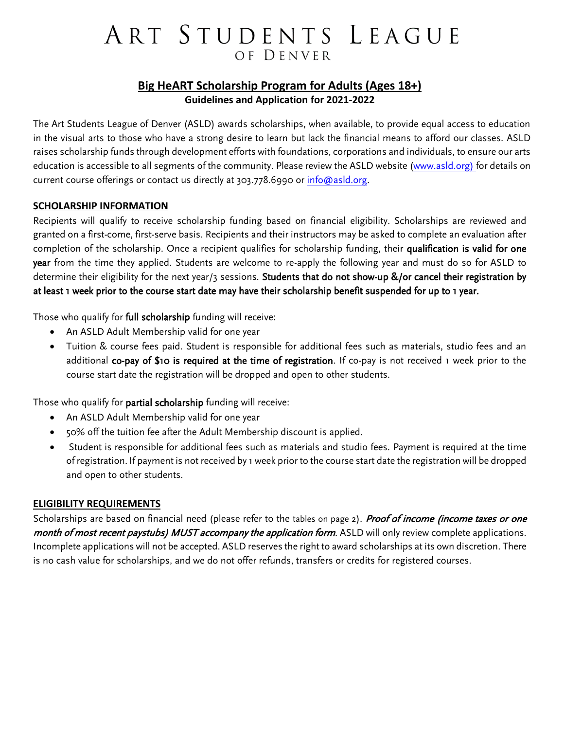# ART STUDENTS LEAGUE OF DENVER

### **Big HeART Scholarship Program for Adults (Ages 18+) Guidelines and Application for 2021-2022**

The Art Students League of Denver (ASLD) awards scholarships, when available, to provide equal access to education in the visual arts to those who have a strong desire to learn but lack the financial means to afford our classes. ASLD raises scholarship funds through development efforts with foundations, corporations and individuals, to ensure our arts education is accessible to all segments of the community. Please review the ASLD website [\(www.asld.org\)](http://www.asld.org/) for details on current course offerings or contact us directly at 303.778.6990 or [info@asld.org.](mailto:info@asld.org)

#### **SCHOLARSHIP INFORMATION**

Recipients will qualify to receive scholarship funding based on financial eligibility. Scholarships are reviewed and granted on a first-come, first-serve basis. Recipients and their instructors may be asked to complete an evaluation after completion of the scholarship. Once a recipient qualifies for scholarship funding, their qualification is valid for one year from the time they applied. Students are welcome to re-apply the following year and must do so for ASLD to determine their eligibility for the next year/3 sessions. Students that do not show-up &/or cancel their registration by at least 1 week prior to the course start date may have their scholarship benefit suspended for up to 1 year.

Those who qualify for full scholarship funding will receive:

- An ASLD Adult Membership valid for one year
- Tuition & course fees paid. Student is responsible for additional fees such as materials, studio fees and an additional co-pay of \$10 is required at the time of registration. If co-pay is not received 1 week prior to the course start date the registration will be dropped and open to other students.

Those who qualify for partial scholarship funding will receive:

- An ASLD Adult Membership valid for one year
- 50% off the tuition fee after the Adult Membership discount is applied.
- Student is responsible for additional fees such as materials and studio fees. Payment is required at the time of registration. If payment is not received by 1 week prior to the course start date the registration will be dropped and open to other students.

#### **ELIGIBILITY REQUIREMENTS**

Scholarships are based on financial need (please refer to the tables on page 2). Proof of income (income taxes or one month of most recent paystubs) MUST accompany the application form. ASLD will only review complete applications. Incomplete applications will not be accepted. ASLD reserves the right to award scholarships at its own discretion. There is no cash value for scholarships, and we do not offer refunds, transfers or credits for registered courses.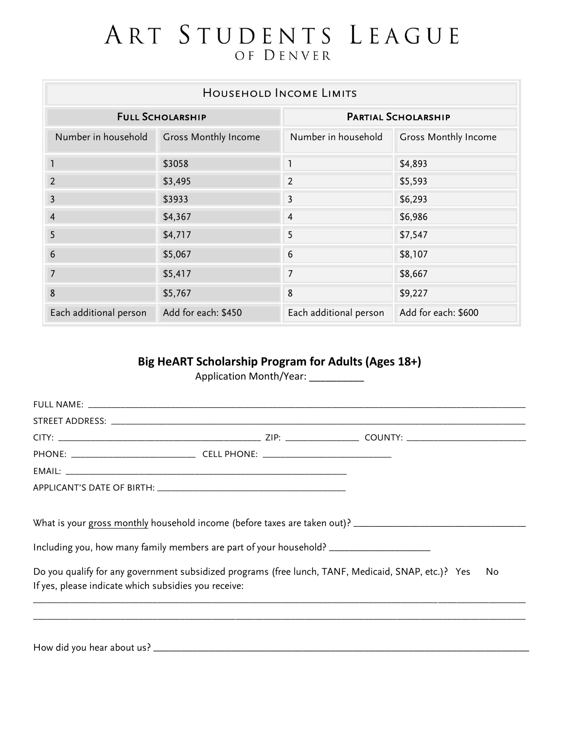## ART STUDENTS LEAGUE OF DENVER

| HOUSEHOLD INCOME LIMITS |                             |                            |                             |  |  |  |
|-------------------------|-----------------------------|----------------------------|-----------------------------|--|--|--|
| <b>FULL SCHOLARSHIP</b> |                             | <b>PARTIAL SCHOLARSHIP</b> |                             |  |  |  |
| Number in household     | <b>Gross Monthly Income</b> | Number in household        | <b>Gross Monthly Income</b> |  |  |  |
| ı                       | \$3058                      | $\mathbf{1}$               | \$4,893                     |  |  |  |
| 2                       | \$3,495                     | $\overline{2}$             | \$5,593                     |  |  |  |
| 3                       | \$3933                      | $\overline{3}$             | \$6,293                     |  |  |  |
| $\overline{4}$          | \$4,367                     | $\overline{4}$             | \$6,986                     |  |  |  |
| 5                       | \$4,717                     | 5                          | \$7,547                     |  |  |  |
| 6                       | \$5,067                     | 6                          | \$8,107                     |  |  |  |
| 7                       | \$5,417                     | $\overline{7}$             | \$8,667                     |  |  |  |
| 8                       | \$5,767                     | 8                          | \$9,227                     |  |  |  |
| Each additional person  | Add for each: \$450         | Each additional person     | Add for each: \$600         |  |  |  |

### **Big HeART Scholarship Program for Adults (Ages 18+)**

Application Month/Year: \_\_\_\_\_\_\_\_\_\_\_

| What is your gross monthly household income (before taxes are taken out)? __________________________                                                        |     |
|-------------------------------------------------------------------------------------------------------------------------------------------------------------|-----|
| Including you, how many family members are part of your household? ______________                                                                           |     |
|                                                                                                                                                             |     |
| Do you qualify for any government subsidized programs (free lunch, TANF, Medicaid, SNAP, etc.)? Yes<br>If yes, please indicate which subsidies you receive: | No. |
|                                                                                                                                                             |     |
|                                                                                                                                                             |     |
|                                                                                                                                                             |     |

How did you hear about us? \_\_\_\_\_\_\_\_\_\_\_\_\_\_\_\_\_\_\_\_\_\_\_\_\_\_\_\_\_\_\_\_\_\_\_\_\_\_\_\_\_\_\_\_\_\_\_\_\_\_\_\_\_\_\_\_\_\_\_\_\_\_\_\_\_\_\_\_